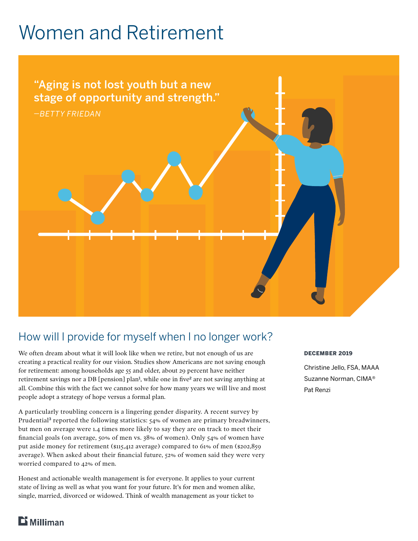# Women and Retirement



### How will I provide for myself when I no longer work?

We often dream about what it will look like when we retire, but not enough of us are creating a practical reality for our vision. Studies show Americans are not saving enough for retirement: among households age 55 and older, about 29 percent have neither retirement savings nor a DB [pension] plan**<sup>1</sup>** , while one in five**<sup>2</sup>** are not saving anything at all. Combine this with the fact we cannot solve for how many years we will live and most people adopt a strategy of hope versus a formal plan.

A particularly troubling concern is a lingering gender disparity. A recent survey by Prudential**<sup>3</sup>** reported the following statistics: 54% of women are primary breadwinners, but men on average were 1.4 times more likely to say they are on track to meet their financial goals (on average, 50% of men vs. 38% of women). Only 54% of women have put aside money for retirement (\$115,412 average) compared to 61% of men (\$202,859 average). When asked about their financial future, 52% of women said they were very worried compared to 42% of men.

Honest and actionable wealth management is for everyone. It applies to your current state of living as well as what you want for your future. It's for men and women alike, single, married, divorced or widowed. Think of wealth management as your ticket to

### DECEMBER 2019

Christine Jello, FSA, MAAA Suzanne Norman, CIMA® Pat Renzi

### $\mathbf{B}$  Milliman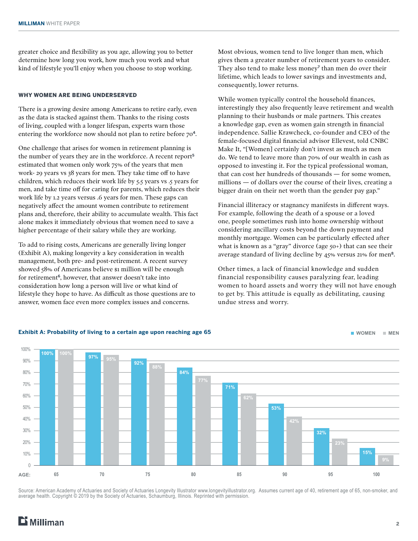greater choice and flexibility as you age, allowing you to better determine how long you work, how much you work and what kind of lifestyle you'll enjoy when you choose to stop working.

#### WHY WOMEN ARE BEING UNDERSERVED

There is a growing desire among Americans to retire early, even as the data is stacked against them. Thanks to the rising costs of living, coupled with a longer lifespan, experts warn those entering the workforce now should not plan to retire before 70**<sup>4</sup>**.

One challenge that arises for women in retirement planning is the number of years they are in the workforce. A recent report**<sup>5</sup>** estimated that women only work 75% of the years that men work- 29 years vs 38 years for men. They take time off to have children, which reduces their work life by 5.5 years vs .5 years for men, and take time off for caring for parents, which reduces their work life by 1.2 years versus .6 years for men. These gaps can negatively affect the amount women contribute to retirement plans and, therefore, their ability to accumulate wealth. This fact alone makes it immediately obvious that women need to save a higher percentage of their salary while they are working.

To add to rising costs, Americans are generally living longer (Exhibit A), making longevity a key consideration in wealth management, both pre- and post-retirement. A recent survey showed 58% of Americans believe \$1 million will be enough for retirement**<sup>6</sup>**, however, that answer doesn't take into consideration how long a person will live or what kind of lifestyle they hope to have. As difficult as those questions are to answer, women face even more complex issues and concerns.

Most obvious, women tend to live longer than men, which gives them a greater number of retirement years to consider. They also tend to make less money**<sup>7</sup>** than men do over their lifetime, which leads to lower savings and investments and, consequently, lower returns.

While women typically control the household finances, interestingly they also frequently leave retirement and wealth planning to their husbands or male partners. This creates a knowledge gap, even as women gain strength in financial independence. Sallie Krawcheck, co-founder and CEO of the female-focused digital financial advisor Ellevest, told CNBC Make It, "[Women] certainly don't invest as much as men do. We tend to leave more than 70% of our wealth in cash as opposed to investing it. For the typical professional woman, that can cost her hundreds of thousands — for some women, millions — of dollars over the course of their lives, creating a bigger drain on their net worth than the gender pay gap."

Financial illiteracy or stagnancy manifests in different ways. For example, following the death of a spouse or a loved one, people sometimes rush into home ownership without considering ancillary costs beyond the down payment and monthly mortgage. Women can be particularly effected after what is known as a "gray" divorce (age 50+) that can see their average standard of living decline by 45% versus 21% for men**<sup>8</sup>**.

Other times, a lack of financial knowledge and sudden financial responsibility causes paralyzing fear, leading women to hoard assets and worry they will not have enough to get by. This attitude is equally as debilitating, causing undue stress and worry.



#### Source: American Academy of Actuaries and Society of Actuaries Longevity Illustrator www.longevityillustrator.org. Assumes current age of 40, retirement age of 65, non-smoker, and average health. Copyright © 2019 by the Society of Actuaries, Schaumburg, Illinois. Reprinted with permission.

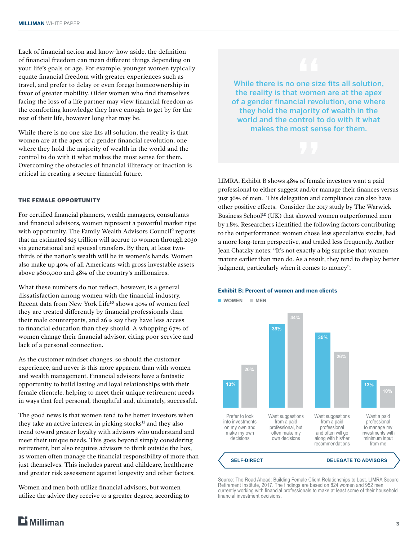Lack of financial action and know-how aside, the definition of financial freedom can mean different things depending on your life's goals or age. For example, younger women typically equate financial freedom with greater experiences such as travel, and prefer to delay or even forego homeownership in favor of greater mobility. Older women who find themselves facing the loss of a life partner may view financial freedom as the comforting knowledge they have enough to get by for the rest of their life, however long that may be.

While there is no one size fits all solution, the reality is that women are at the apex of a gender financial revolution, one where they hold the majority of wealth in the world and the control to do with it what makes the most sense for them. Overcoming the obstacles of financial illiteracy or inaction is critical in creating a secure financial future.

#### THE FEMALE OPPORTUNITY

For certified financial planners, wealth managers, consultants and financial advisors, women represent a powerful market ripe with opportunity. The Family Wealth Advisors Council**<sup>9</sup>** reports that an estimated \$25 trillion will accrue to women through 2030 via generational and spousal transfers. By then, at least twothirds of the nation's wealth will be in women's hands. Women also make up 40% of all Americans with gross investable assets above \$600,000 and 48% of the country's millionaires.

What these numbers do not reflect, however, is a general dissatisfaction among women with the financial industry. Recent data from New York Life**<sup>10</sup>** shows 40% of women feel they are treated differently by financial professionals than their male counterparts, and 26% say they have less access to financial education than they should. A whopping 67% of women change their financial advisor, citing poor service and lack of a personal connection.

As the customer mindset changes, so should the customer experience, and never is this more apparent than with women and wealth management. Financial advisors have a fantastic opportunity to build lasting and loyal relationships with their female clientele, helping to meet their unique retirement needs in ways that feel personal, thoughtful and, ultimately, successful.

The good news is that women tend to be better investors when they take an active interest in picking stocks**<sup>11</sup>** and they also trend toward greater loyalty with advisors who understand and meet their unique needs. This goes beyond simply considering retirement, but also requires advisors to think outside the box, as women often manage the financial responsibility of more than just themselves. This includes parent and childcare, healthcare and greater risk assessment against longevity and other factors.

Women and men both utilize financial advisors, but women utilize the advice they receive to a greater degree, according to

While there is no one size fits all solution, the reality is that women are at the apex of a gender financial revolution, one where they hold the majority of wealth in the world and the control to do with it what makes the most sense for them.

LIMRA. Exhibit B shows 48% of female investors want a paid professional to either suggest and/or manage their finances versus just 36% of men. This delegation and compliance can also have other positive effects. Consider the 2017 study by The Warwick Business School**<sup>12</sup>** (UK) that showed women outperformed men by 1.8%. Researchers identified the following factors contributing to the outperformance: women chose less speculative stocks, had a more long-term perspective, and traded less frequently. Author Jean Chatzky notes: "It's not exactly a big surprise that women mature earlier than men do. As a result, they tend to display better judgment, particularly when it comes to money".



Source: The Road Ahead: Building Female Client Relationships to Last, LIMRA Secure Retirement Institute, 2017. The findings are based on 824 women and 952 men currently working with financial professionals to make at least some of their household financial investment decisions.

#### **Exhibit B: Percent of women and men clients**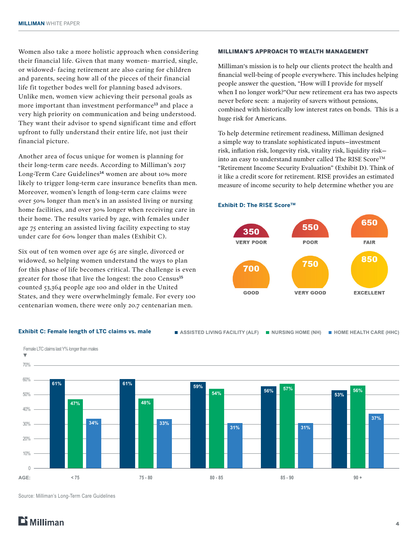Women also take a more holistic approach when considering their financial life. Given that many women- married, single, or widowed- facing retirement are also caring for children and parents, seeing how all of the pieces of their financial life fit together bodes well for planning based advisors. Unlike men, women view achieving their personal goals as more important than investment performance**<sup>13</sup>** and place a very high priority on communication and being understood. They want their advisor to spend significant time and effort upfront to fully understand their entire life, not just their financial picture.

Another area of focus unique for women is planning for their long-term care needs. According to Milliman's 2017 Long-Term Care Guidelines**<sup>14</sup>** women are about 10% more likely to trigger long-term care insurance benefits than men. Moreover, women's length of long-term care claims were over 50% longer than men's in an assisted living or nursing home facilities, and over 30% longer when receiving care in their home. The results varied by age, with females under age 75 entering an assisted living facility expecting to stay under care for 60% longer than males (Exhibit C).

Six out of ten women over age 65 are single, divorced or widowed, so helping women understand the ways to plan for this phase of life becomes critical. The challenge is even greater for those that live the longest: the 2010 Census**<sup>15</sup>** counted 53,364 people age 100 and older in the United States, and they were overwhelmingly female. For every 100 centenarian women, there were only 20.7 centenarian men.

#### MILLIMAN'S APPROACH TO WEALTH MANAGEMENT

Milliman's mission is to help our clients protect the health and financial well-being of people everywhere. This includes helping people answer the question, "How will I provide for myself when I no longer work?"Our new retirement era has two aspects never before seen: a majority of savers without pensions, combined with historically low interest rates on bonds. This is a huge risk for Americans.

To help determine retirement readiness, Milliman designed a simple way to translate sophisticated inputs—investment risk, inflation risk, longevity risk, vitality risk, liquidity risk into an easy to understand number called The RISE Score<sup>TM</sup> "Retirement Income Security Evaluation" (Exhibit D). Think of it like a credit score for retirement. RISE provides an estimated measure of income security to help determine whether you are

#### **Exhibit D: The RISE ScoreTM**



#### **Exhibit C: Female length of LTC claims vs. male ASSISTED LIVING FACILITY (ALF) NURSING HOME (NH)** HOME HEALTH CARE (HHC)



Source: Milliman's Long-Term Care Guidelines

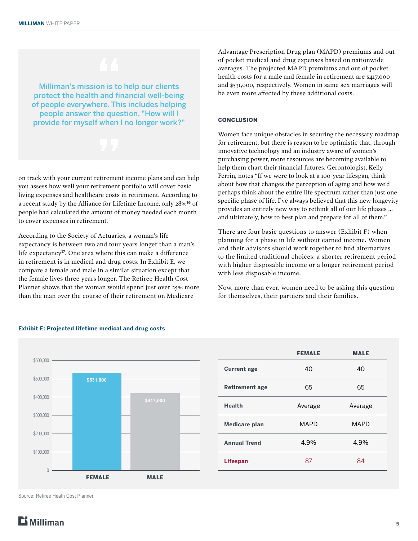Milliman's mission is to help our clients protect the health and financial well-being of people everywhere. This includes helping people answer the question, "How will I provide for myself when I no longer work?"

on track with your current retirement income plans and can help you assess how well your retirement portfolio will cover basic living expenses and healthcare costs in retirement. According to a recent study by the Alliance for Lifetime Income, only 28%**<sup>16</sup>** of people had calculated the amount of money needed each month to cover expenses in retirement.

According to the Society of Actuaries, a woman's life expectancy is between two and four years longer than a man's life expectancy**<sup>17</sup>**. One area where this can make a difference in retirement is in medical and drug costs. In Exhibit E, we compare a female and male in a similar situation except that the female lives three years longer. The Retiree Health Cost Planner shows that the woman would spend just over 25% more than the man over the course of their retirement on Medicare

Advantage Prescription Drug plan (MAPD) premiums and out of pocket medical and drug expenses based on nationwide averages. The projected MAPD premiums and out of pocket health costs for a male and female in retirement are \$417,000 and \$531,000, respectively. Women in same sex marriages will be even more affected by these additional costs.

#### **CONCLUSION**

Women face unique obstacles in securing the necessary roadmap for retirement, but there is reason to be optimistic that, through innovative technology and an industry aware of women's purchasing power, more resources are becoming available to help them chart their financial futures. Gerontologist, Kelly Ferrin, notes "If we were to look at a 100-year lifespan, think about how that changes the perception of aging and how we'd perhaps think about the entire life spectrum rather than just one specific phase of life. I've always believed that this new longevity provides an entirely new way to rethink all of our life phases … and ultimately, how to best plan and prepare for all of them."

There are four basic questions to answer (Exhibit F) when planning for a phase in life without earned income. Women and their advisors should work together to find alternatives to the limited traditional choices: a shorter retirement period with higher disposable income or a longer retirement period with less disposable income.

Now, more than ever, women need to be asking this question for themselves, their partners and their families.



|                       | <b>FEMALE</b> | <b>MALE</b> |
|-----------------------|---------------|-------------|
| <b>Current age</b>    | 40            | 40          |
| <b>Retirement age</b> | 65            | 65          |
| <b>Health</b>         | Average       | Average     |
| Medicare plan         | <b>MAPD</b>   | <b>MAPD</b> |
| <b>Annual Trend</b>   | 4.9%          | 4.9%        |
| <b>Lifespan</b>       | 87            | 84          |

#### **Exhibit E: Projected lifetime medical and drug costs**

Source: Retiree Heath Cost Planner.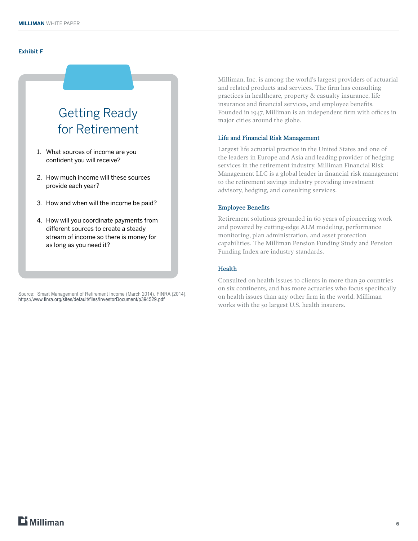#### **Exhibit F**

## Getting Ready for Retirement

- 1. What sources of income are you confident you will receive?
- 2. How much income will these sources provide each year?
- 3. How and when will the income be paid?
- 4. How will you coordinate payments from different sources to create a steady stream of income so there is money for as long as you need it?

Source: Smart Management of Retirement Income (March 2014). FINRA (2014). <https://www.finra.org/sites/default/files/InvestorDocument/p394529.pdf>

Milliman, Inc. is among the world's largest providers of actuarial and related products and services. The firm has consulting practices in healthcare, property & casualty insurance, life insurance and financial services, and employee benefits. Founded in 1947, Milliman is an independent firm with offices in major cities around the globe.

#### Life and Financial Risk Management

Largest life actuarial practice in the United States and one of the leaders in Europe and Asia and leading provider of hedging services in the retirement industry. Milliman Financial Risk Management LLC is a global leader in financial risk management to the retirement savings industry providing investment advisory, hedging, and consulting services.

#### Employee Benefits

Retirement solutions grounded in 60 years of pioneering work and powered by cutting-edge ALM modeling, performance monitoring, plan administration, and asset protection capabilities. The Milliman Pension Funding Study and Pension Funding Index are industry standards.

#### Health

Consulted on health issues to clients in more than 30 countries on six continents, and has more actuaries who focus specifically on health issues than any other firm in the world. Milliman works with the 50 largest U.S. health insurers.

### $E$  Milliman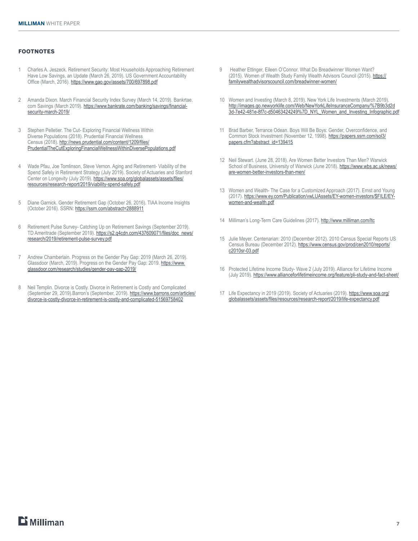#### FOOTNOTES

- 1 Charles A. Jeszeck. Retirement Security: Most Households Approaching Retirement Have Low Savings, an Update (March 26, 2019). US Government Accountability Office (March, 2016). <https://www.gao.gov/assets/700/697898.pdf>
- 2 Amanda Dixon. March Financial Security Index Survey (March 14, 2019). Bankrtae. com Savings (March 2019). [https://www.bankrate.com/banking/savings/financial](https://www.bankrate.com/banking/savings/financial-security-march-2019/)[security-march-2019/](https://www.bankrate.com/banking/savings/financial-security-march-2019/)
- 3 Stephen Pelletier. The Cut- Exploring Financial Wellness Within Diverse Populations (2018). Prudential Financial Wellness Census (2018). [http://news.prudential.com/content/1209/files/](https://news.prudential.com/content/1209/files/PrudentialTheCutExploringFinancialWellnessWithinDiversePopulations.pdf) [PrudentialTheCutExploringFinancialWellnessWithinDiversePopulations.pdf](https://news.prudential.com/content/1209/files/PrudentialTheCutExploringFinancialWellnessWithinDiversePopulations.pdf)
- 4 Wade Pfau, Joe Tomlinson, Steve Vernon. Aging and Retirement- Viability of the Spend Safely in Retirement Strategy (July 2019). Society of Actuaries and Stanford Center on Longevity (July 2019). [https://www.soa.org/globalassets/assets/files/](https://www.soa.org/globalassets/assets/files/resources/research-report/2019/viability-spend-safely.pdf) [resources/research-report/2019/viability-spend-safely.pdf](https://www.soa.org/globalassets/assets/files/resources/research-report/2019/viability-spend-safely.pdf)
- 5 Diane Garnick. Gender Retirement Gap (October 26, 2016). TIAA Income Insights (October 2016). SSRN:<https://ssrn.com/abstract=2888911>
- 6 Retirement Pulse Survey- Catching Up on Retirement Savings (September 2019). TD Ameritrade (September 2019). [https://s2.q4cdn.com/437609071/files/doc\\_news/](https://s2.q4cdn.com/437609071/files/doc_news/research/2019/retirement-pulse-survey.pdf) [research/2019/retirement-pulse-survey.pdf](https://s2.q4cdn.com/437609071/files/doc_news/research/2019/retirement-pulse-survey.pdf)
- 7 Andrew Chamberlain. Progress on the Gender Pay Gap: 2019 (March 26, 2019). Glassdoor (March, 2019). Progress on the Gender Pay Gap: 2019. [https://www.](https://www.glassdoor.com/research/studies/gender-pay-gap-2019/) [glassdoor.com/research/studies/gender-pay-gap-2019/](https://www.glassdoor.com/research/studies/gender-pay-gap-2019/)
- 8 Neil Templin. Divorce is Costly. Divorce in Retirement is Costly and Complicated (September 29, 2019).Barron's (September, 2019). [https://www.barrons.com/articles/](https://www.barrons.com/articles/divorce-is-costly-divorce-in-retirement-is-costly-and-complicated-51569758402) [divorce-is-costly-divorce-in-retirement-is-costly-and-complicated-51569758402](https://www.barrons.com/articles/divorce-is-costly-divorce-in-retirement-is-costly-and-complicated-51569758402)
- 9 Heather Ettinger, Eileen O'Connor. What Do Breadwinner Women Want? (2015). Women of Wealth Study Family Wealth Advisors Council (2015). [https://](https://familywealthadvisorscouncil.com/breadwinner-women/) [familywealthadvisorscouncil.com/breadwinner-women/](https://familywealthadvisorscouncil.com/breadwinner-women/)
- 10 Women and Investing (March 8, 2019). New York Life Investments (March 2019). [http://images.go.newyorklife.com/Web/NewYorkLifeInsuranceCompany/%7B9b3d2d](http://images.go.newyorklife.com/Web/NewYorkLifeInsuranceCompany/%7B9b3d2d3d-7e42-481e-8f7c-d50463424249%7D_NYL_Women_and_Investing_Infographic.pdf ) [3d-7e42-481e-8f7c-d50463424249%7D\\_NYL\\_Women\\_and\\_Investing\\_Infographic.pdf](http://images.go.newyorklife.com/Web/NewYorkLifeInsuranceCompany/%7B9b3d2d3d-7e42-481e-8f7c-d50463424249%7D_NYL_Women_and_Investing_Infographic.pdf )
- 11 Brad Barber, Terrance Odean. Boys Will Be Boys: Gender, Overconfidence, and Common Stock Investment (November 12, 1998). [https://papers.ssrn.com/sol3/](https://papers.ssrn.com/sol3/papers.cfm?abstract_id=139415) [papers.cfm?abstract\\_id=139415](https://papers.ssrn.com/sol3/papers.cfm?abstract_id=139415)
- 12 Neil Stewart. (June 28, 2018). Are Women Better Investors Than Men? Warwick School of Business, University of Warwick (June 2018). [https://www.wbs.ac.uk/news/](https://www.wbs.ac.uk/news/are-women-better-investors-than-men/) [are-women-better-investors-than-men/](https://www.wbs.ac.uk/news/are-women-better-investors-than-men/)
- 13 Women and Wealth- The Case for a Customized Approach (2017). Ernst and Young (2017). [https://www.ey.com/Publication/vwLUAssets/EY-women-investors/\\$FILE/EY](https://www.ey.com/Publication/vwLUAssets/EY-women-investors/$FILE/EY-women-and-wealth.pdf)[women-and-wealth.pdf](https://www.ey.com/Publication/vwLUAssets/EY-women-investors/$FILE/EY-women-and-wealth.pdf)
- 14 Milliman's Long-Term Care Guidelines (2017).<http://www.milliman.com/ltc>
- 15 Julie Meyer. Centenarian: 2010 (December 2012). 2010 Census Special Reports US Census Bureau (December 2012). [https://www.census.gov/prod/cen2010/reports/](https://www.census.gov/prod/cen2010/reports/c2010sr-03.pdf) [c2010sr-03.pdf](https://www.census.gov/prod/cen2010/reports/c2010sr-03.pdf)
- 16 Protected Lifetime Income Study- Wave 2 (July 2019). Alliance for Lifetime Income (July 2019).<https://www.allianceforlifetimeincome.org/feature/pli-study-and-fact-sheet/>
- 17 Life Expectancy in 2019 (2019). Society of Actuaries (2019). [https://www.soa.org/](https://www.soa.org/globalassets/assets/files/resources/research-report/2019/life-expectancy.pdf) [globalassets/assets/files/resources/research-report/2019/life-expectancy.pdf](https://www.soa.org/globalassets/assets/files/resources/research-report/2019/life-expectancy.pdf)